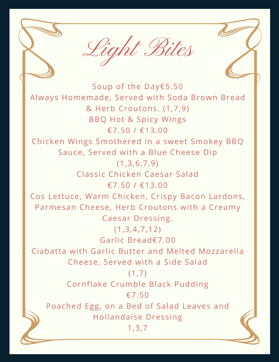

Soup of the Day€5.50 Always Homemade, Served with Soda Brown Bread & Herb Croutons. (1,7,9) **BBQ Hot & Spicy Wings** €7.50 / €13.00 Chicken Wings Smothered in a sweet Smokey BBQ Sauce, Served with a Blue Cheese Dip  $(1,3,6,7,9)$ Classic Chicken Caesar Salad €7.50 / €13.00 Cos Lettuce, Warm Chicken, Crispy Bacon Lardons, Parmesan Cheese, Herb Croutons with a Creamy Caesar Dressing.  $(1,3,4,7,12)$ Garlic Bread€7.00 Ciabatta with Garlic Butter and Melted Mozzarella Cheese, Served with a Side Salad  $(1,7)$ Cornflake Crumble Black Pudding  $£7.50$ Poached Egg, on a Bed of Salad Leaves and **Hollandaise Dressing**  $1, 3, 7$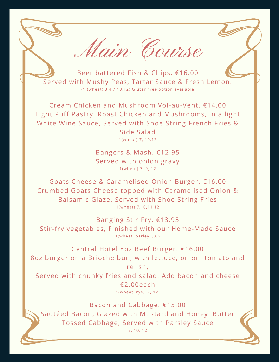Main Course

Beer battered Fish & Chips. €16.00 Served with Mushy Peas, Tartar Sauce & Fresh Lemon.  $(1$  (wheat),  $3, 4, 7, 10, 12$ ) Gluten free option available

Cream Chicken and Mushroom Vol-au-Vent. €14.00 Light Puff Pastry, Roast Chicken and Mushrooms, in a light White Wine Sauce, Served with Shoe String French Fries & Side Salad 1(wheat) 7, 10,12

> Bangers & Mash. €12.95 Served with onion gravy 1(wheat) 7, 9, 12

Goats Cheese & Caramelised Onion Burger. €16.00 Crumbed Goats Cheese topped with Caramelised Onion & Balsamic Glaze. Served with Shoe String Fries 1(wheat) 7,10,11,12

Banging Stir Fry. €13.95 Stir-fry vegetables, Finished with our Home-Made Sauce 1(wheat, barley), 3,6

Central Hotel 8oz Beef Burger. €16.00 8oz burger on a Brioche bun, with lettuce, onion, tomato and relish, Served with chunky fries and salad. Add bacon and cheese €2.00each

1(wheat, rye), 7, 12.

Bacon and Cabbage. €15.00 Sautéed Bacon, Glazed with Mustard and Honey. Butter Tossed Cabbage, Served with Parsley Sauce  $7, 10, 12$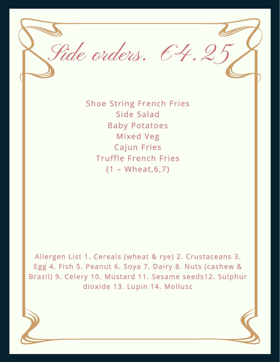

Shoe String French Fries Side Salad Baby Potatoes Mixed Veg Cajun Fries Truffle French Fries (1 – Wheat,6,7)

Allergen List 1. Cereals (wheat & rye) 2. Crustaceans 3. Egg 4. Fish 5. Peanut 6. Soya 7. Dairy 8. Nuts (cashew & Brazil) 9. Celery 10. Mustard 11. Sesame seeds12. Sulphur dioxide 13. Lupin 14. Mollusc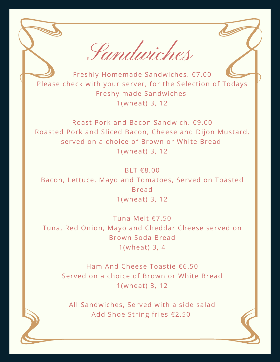Sandwiches

Freshly Homemade Sandwiches. €7.00 Please check with your server, for the Selection of Todays Freshy made Sandwiches 1(wheat) 3, 12

Roast Pork and Bacon Sandwich. €9.00 Roasted Pork and Sliced Bacon, Cheese and Dijon Mustard, served on a choice of Brown or White Bread 1(wheat) 3, 12

BLT €8.00 Bacon, Lettuce, Mayo and Tomatoes, Served on Toasted Bread 1(wheat) 3, 12

Tuna Melt €7.50 Tuna, Red Onion, Mayo and Cheddar Cheese served on Brown Soda Bread 1(wheat) 3, 4

Ham And Cheese Toastie €6.50 Served on a choice of Brown or White Bread 1(wheat) 3, 12

All Sandwiches, Served with a side salad Add Shoe String fries €2.50